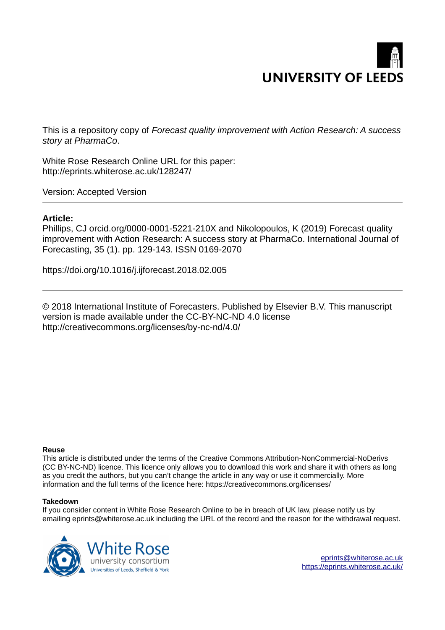# **UNIVERSITY OF LEEDS**

This is a repository copy of *Forecast quality improvement with Action Research: A success story at PharmaCo*.

White Rose Research Online URL for this paper: http://eprints.whiterose.ac.uk/128247/

Version: Accepted Version

# **Article:**

Phillips, CJ orcid.org/0000-0001-5221-210X and Nikolopoulos, K (2019) Forecast quality improvement with Action Research: A success story at PharmaCo. International Journal of Forecasting, 35 (1). pp. 129-143. ISSN 0169-2070

https://doi.org/10.1016/j.ijforecast.2018.02.005

© 2018 International Institute of Forecasters. Published by Elsevier B.V. This manuscript version is made available under the CC-BY-NC-ND 4.0 license http://creativecommons.org/licenses/by-nc-nd/4.0/

#### **Reuse**

This article is distributed under the terms of the Creative Commons Attribution-NonCommercial-NoDerivs (CC BY-NC-ND) licence. This licence only allows you to download this work and share it with others as long as you credit the authors, but you can't change the article in any way or use it commercially. More information and the full terms of the licence here: https://creativecommons.org/licenses/

#### **Takedown**

If you consider content in White Rose Research Online to be in breach of UK law, please notify us by emailing eprints@whiterose.ac.uk including the URL of the record and the reason for the withdrawal request.



[eprints@whiterose.ac.uk](mailto:eprints@whiterose.ac.uk) <https://eprints.whiterose.ac.uk/>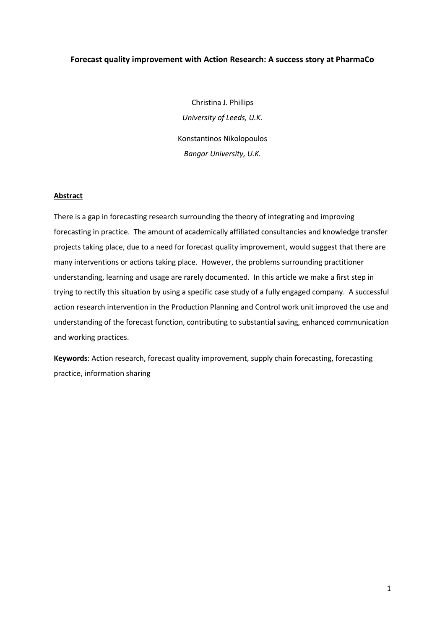# **Forecast quality improvement with Action Research: A success story at PharmaCo**

Christina J. Phillips *University of Leeds, U.K.*  Konstantinos Nikolopoulos *Bangor University, U.K.*

## **Abstract**

There is a gap in forecasting research surrounding the theory of integrating and improving forecasting in practice. The amount of academically affiliated consultancies and knowledge transfer projects taking place, due to a need for forecast quality improvement, would suggest that there are many interventions or actions taking place. However, the problems surrounding practitioner understanding, learning and usage are rarely documented. In this article we make a first step in trying to rectify this situation by using a specific case study of a fully engaged company. A successful action research intervention in the Production Planning and Control work unit improved the use and understanding of the forecast function, contributing to substantial saving, enhanced communication and working practices.

**Keywords**: Action research, forecast quality improvement, supply chain forecasting, forecasting practice, information sharing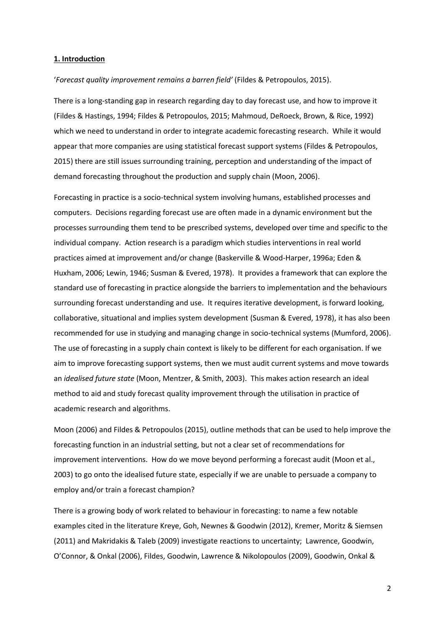#### **1. Introduction**

#### *'Forecast quality improvement remains a barren field'* (Fildes & Petropoulos, 2015).

There is a long-standing gap in research regarding day to day forecast use, and how to improve it (Fildes & Hastings, 1994; Fildes & Petropoulos, 2015; Mahmoud, DeRoeck, Brown, & Rice, 1992) which we need to understand in order to integrate academic forecasting research. While it would appear that more companies are using statistical forecast support systems (Fildes & Petropoulos, 2015) there are still issues surrounding training, perception and understanding of the impact of demand forecasting throughout the production and supply chain (Moon, 2006).

Forecasting in practice is a socio-technical system involving humans, established processes and computers. Decisions regarding forecast use are often made in a dynamic environment but the processes surrounding them tend to be prescribed systems, developed over time and specific to the individual company. Action research is a paradigm which studies interventions in real world practices aimed at improvement and/or change (Baskerville & Wood-Harper, 1996a; Eden & Huxham, 2006; Lewin, 1946; Susman & Evered, 1978). It provides a framework that can explore the standard use of forecasting in practice alongside the barriers to implementation and the behaviours surrounding forecast understanding and use. It requires iterative development, is forward looking, collaborative, situational and implies system development (Susman & Evered, 1978), it has also been recommended for use in studying and managing change in socio-technical systems (Mumford, 2006). The use of forecasting in a supply chain context is likely to be different for each organisation. If we aim to improve forecasting support systems, then we must audit current systems and move towards an *idealised future state* (Moon, Mentzer, & Smith, 2003). This makes action research an ideal method to aid and study forecast quality improvement through the utilisation in practice of academic research and algorithms.

Moon (2006) and Fildes & Petropoulos (2015), outline methods that can be used to help improve the forecasting function in an industrial setting, but not a clear set of recommendations for improvement interventions. How do we move beyond performing a forecast audit (Moon et al., 2003) to go onto the idealised future state, especially if we are unable to persuade a company to employ and/or train a forecast champion?

There is a growing body of work related to behaviour in forecasting: to name a few notable examples cited in the literature Kreye, Goh, Newnes & Goodwin (2012), Kremer, Moritz & Siemsen (2011) and Makridakis & Taleb (2009) investigate reactions to uncertainty; Lawrence, Goodwin, O'Connor, & Onkal (2006), Fildes, Goodwin, Lawrence & Nikolopoulos (2009), Goodwin, Onkal &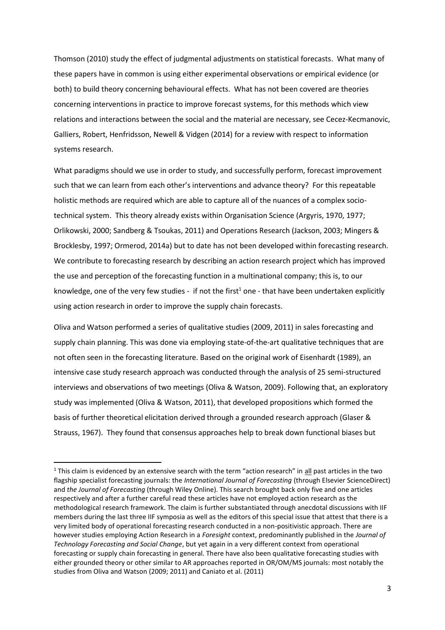Thomson (2010) study the effect of judgmental adjustments on statistical forecasts. What many of these papers have in common is using either experimental observations or empirical evidence (or both) to build theory concerning behavioural effects. What has not been covered are theories concerning interventions in practice to improve forecast systems, for this methods which view relations and interactions between the social and the material are necessary, see Cecez-Kecmanovic, Galliers, Robert, Henfridsson, Newell & Vidgen (2014) for a review with respect to information systems research.

What paradigms should we use in order to study, and successfully perform, forecast improvement such that we can learn from each other's interventions and advance theory? For this repeatable holistic methods are required which are able to capture all of the nuances of a complex sociotechnical system. This theory already exists within Organisation Science (Argyris, 1970, 1977; Orlikowski, 2000; Sandberg & Tsoukas, 2011) and Operations Research (Jackson, 2003; Mingers & Brocklesby, 1997; Ormerod, 2014a) but to date has not been developed within forecasting research. We contribute to forecasting research by describing an action research project which has improved the use and perception of the forecasting function in a multinational company; this is, to our knowledge, one of the very few studies - if not the first<sup>1</sup> one - that have been undertaken explicitly using action research in order to improve the supply chain forecasts.

Oliva and Watson performed a series of qualitative studies (2009, 2011) in sales forecasting and supply chain planning. This was done via employing state-of-the-art qualitative techniques that are not often seen in the forecasting literature. Based on the original work of Eisenhardt (1989), an intensive case study research approach was conducted through the analysis of 25 semi-structured interviews and observations of two meetings (Oliva & Watson, 2009). Following that, an exploratory study was implemented (Oliva & Watson, 2011), that developed propositions which formed the basis of further theoretical elicitation derived through a grounded research approach (Glaser & Strauss, 1967). They found that consensus approaches help to break down functional biases but

.<br>-

 $1$  This claim is evidenced by an extensive search with the term "action research" in all past articles in the two flagship specialist forecasting journals: the *International Journal of Forecasting* (through Elsevier ScienceDirect) and *the Journal of Forecasting* (through Wiley Online). This search brought back only five and one articles respectively and after a further careful read these articles have not employed action research as the methodological research framework. The claim is further substantiated through anecdotal discussions with IIF members during the last three IIF symposia as well as the editors of this special issue that attest that there is a very limited body of operational forecasting research conducted in a non-positivistic approach. There are however studies employing Action Research in a *Foresight* context, predominantly published in the *Journal of Technology Forecasting and Social Change*, but yet again in a very different context from operational forecasting or supply chain forecasting in general. There have also been qualitative forecasting studies with either grounded theory or other similar to AR approaches reported in OR/OM/MS journals: most notably the studies from Oliva and Watson (2009; 2011) and Caniato et al. (2011)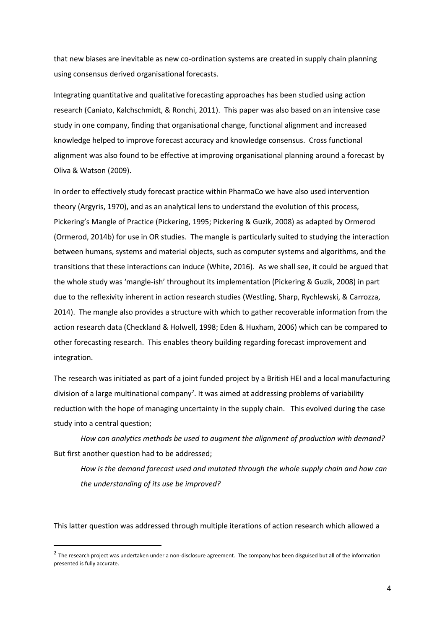that new biases are inevitable as new co-ordination systems are created in supply chain planning using consensus derived organisational forecasts.

Integrating quantitative and qualitative forecasting approaches has been studied using action research (Caniato, Kalchschmidt, & Ronchi, 2011). This paper was also based on an intensive case study in one company, finding that organisational change, functional alignment and increased knowledge helped to improve forecast accuracy and knowledge consensus. Cross functional alignment was also found to be effective at improving organisational planning around a forecast by Oliva & Watson (2009).

In order to effectively study forecast practice within PharmaCo we have also used intervention theory (Argyris, 1970), and as an analytical lens to understand the evolution of this process, Pickering's Mangle of Practice (Pickering, 1995; Pickering & Guzik, 2008) as adapted by Ormerod (Ormerod, 2014b) for use in OR studies. The mangle is particularly suited to studying the interaction between humans, systems and material objects, such as computer systems and algorithms, and the transitions that these interactions can induce (White, 2016). As we shall see, it could be argued that the whole study was 'mangle-ish' throughout its implementation (Pickering & Guzik, 2008) in part due to the reflexivity inherent in action research studies (Westling, Sharp, Rychlewski, & Carrozza, 2014). The mangle also provides a structure with which to gather recoverable information from the action research data (Checkland & Holwell, 1998; Eden & Huxham, 2006) which can be compared to other forecasting research. This enables theory building regarding forecast improvement and integration.

The research was initiated as part of a joint funded project by a British HEI and a local manufacturing division of a large multinational company<sup>2</sup>. It was aimed at addressing problems of variability reduction with the hope of managing uncertainty in the supply chain. This evolved during the case study into a central question;

*How can analytics methods be used to augment the alignment of production with demand?* But first another question had to be addressed;

*How is the demand forecast used and mutated through the whole supply chain and how can the understanding of its use be improved?* 

This latter question was addressed through multiple iterations of action research which allowed a

-

<sup>&</sup>lt;sup>2</sup> The research project was undertaken under a non-disclosure agreement. The company has been disguised but all of the information presented is fully accurate.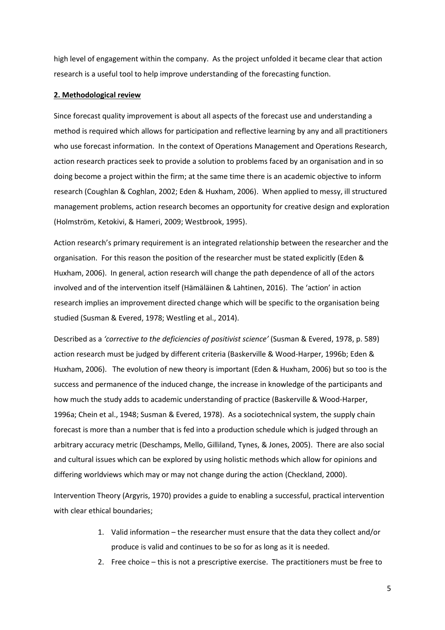high level of engagement within the company. As the project unfolded it became clear that action research is a useful tool to help improve understanding of the forecasting function.

#### **2. Methodological review**

Since forecast quality improvement is about all aspects of the forecast use and understanding a method is required which allows for participation and reflective learning by any and all practitioners who use forecast information. In the context of Operations Management and Operations Research, action research practices seek to provide a solution to problems faced by an organisation and in so doing become a project within the firm; at the same time there is an academic objective to inform research (Coughlan & Coghlan, 2002; Eden & Huxham, 2006). When applied to messy, ill structured management problems, action research becomes an opportunity for creative design and exploration (Holmström, Ketokivi, & Hameri, 2009; Westbrook, 1995).

Action research's primary requirement is an integrated relationship between the researcher and the organisation. For this reason the position of the researcher must be stated explicitly (Eden & Huxham, 2006). In general, action research will change the path dependence of all of the actors involved and of the intervention itself (Hämäläinen & Lahtinen, 2016). The 'action' in action research implies an improvement directed change which will be specific to the organisation being studied (Susman & Evered, 1978; Westling et al., 2014).

Described as a 'corrective to the deficiencies of positivist science' (Susman & Evered, 1978, p. 589) action research must be judged by different criteria (Baskerville & Wood-Harper, 1996b; Eden & Huxham, 2006). The evolution of new theory is important (Eden & Huxham, 2006) but so too is the success and permanence of the induced change, the increase in knowledge of the participants and how much the study adds to academic understanding of practice (Baskerville & Wood-Harper, 1996a; Chein et al., 1948; Susman & Evered, 1978). As a sociotechnical system, the supply chain forecast is more than a number that is fed into a production schedule which is judged through an arbitrary accuracy metric (Deschamps, Mello, Gilliland, Tynes, & Jones, 2005). There are also social and cultural issues which can be explored by using holistic methods which allow for opinions and differing worldviews which may or may not change during the action (Checkland, 2000).

Intervention Theory (Argyris, 1970) provides a guide to enabling a successful, practical intervention with clear ethical boundaries;

- 1. Valid information the researcher must ensure that the data they collect and/or produce is valid and continues to be so for as long as it is needed.
- 2. Free choice  $-$  this is not a prescriptive exercise. The practitioners must be free to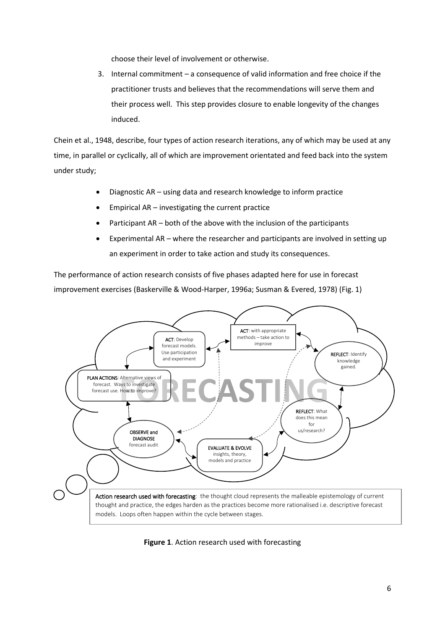choose their level of involvement or otherwise.

3. Internal commitment - a consequence of valid information and free choice if the practitioner trusts and believes that the recommendations will serve them and their process well. This step provides closure to enable longevity of the changes induced.

Chein et al., 1948, describe, four types of action research iterations, any of which may be used at any time, in parallel or cyclically, all of which are improvement orientated and feed back into the system under study;

- Diagnostic AR using data and research knowledge to inform practice
- Empirical  $AR -$  investigating the current practice
- Participant  $AR both$  of the above with the inclusion of the participants
- Experimental AR  $-$  where the researcher and participants are involved in setting up an experiment in order to take action and study its consequences.

The performance of action research consists of five phases adapted here for use in forecast improvement exercises (Baskerville & Wood-Harper, 1996a; Susman & Evered, 1978) (Fig. 1)



**Figure 1**. Action research used with forecasting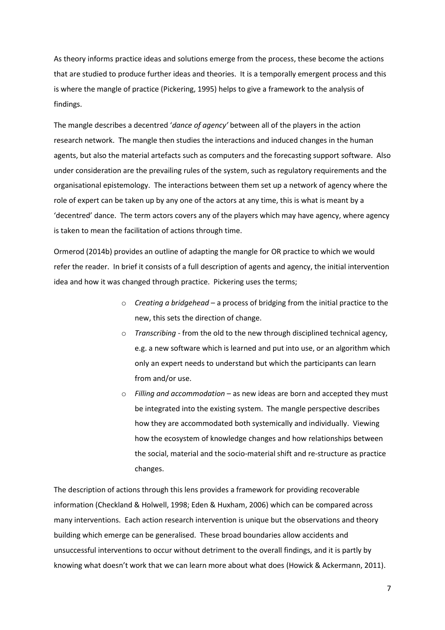As theory informs practice ideas and solutions emerge from the process, these become the actions that are studied to produce further ideas and theories. It is a temporally emergent process and this is where the mangle of practice (Pickering, 1995) helps to give a framework to the analysis of findings.

The mangle describes a decentred *'dance of agency'* between all of the players in the action research network. The mangle then studies the interactions and induced changes in the human agents, but also the material artefacts such as computers and the forecasting support software. Also under consideration are the prevailing rules of the system, such as regulatory requirements and the organisational epistemology. The interactions between them set up a network of agency where the role of expert can be taken up by any one of the actors at any time, this is what is meant by a 'decentred' dance. The term actors covers any of the players which may have agency, where agency is taken to mean the facilitation of actions through time.

Ormerod (2014b) provides an outline of adapting the mangle for OR practice to which we would refer the reader. In brief it consists of a full description of agents and agency, the initial intervention idea and how it was changed through practice. Pickering uses the terms;

- o *Creating a bridgehead* に a process of bridging from the initial practice to the new, this sets the direction of change.
- o *Transcribing*  from the old to the new through disciplined technical agency, e.g. a new software which is learned and put into use, or an algorithm which only an expert needs to understand but which the participants can learn from and/or use.
- o *Filling and accommodation* − as new ideas are born and accepted they must be integrated into the existing system. The mangle perspective describes how they are accommodated both systemically and individually. Viewing how the ecosystem of knowledge changes and how relationships between the social, material and the socio-material shift and re-structure as practice changes.

The description of actions through this lens provides a framework for providing recoverable information (Checkland & Holwell, 1998; Eden & Huxham, 2006) which can be compared across many interventions. Each action research intervention is unique but the observations and theory building which emerge can be generalised. These broad boundaries allow accidents and unsuccessful interventions to occur without detriment to the overall findings, and it is partly by knowing what doesn't work that we can learn more about what does (Howick & Ackermann, 2011).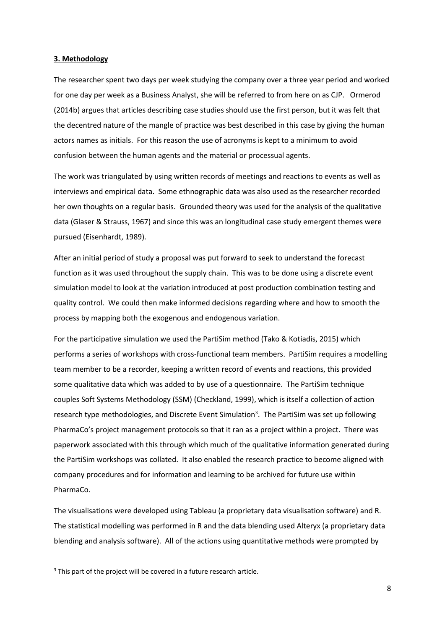#### **3. Methodology**

The researcher spent two days per week studying the company over a three year period and worked for one day per week as a Business Analyst, she will be referred to from here on as CJP. Ormerod (2014b) argues that articles describing case studies should use the first person, but it was felt that the decentred nature of the mangle of practice was best described in this case by giving the human actors names as initials. For this reason the use of acronyms is kept to a minimum to avoid confusion between the human agents and the material or processual agents.

The work was triangulated by using written records of meetings and reactions to events as well as interviews and empirical data. Some ethnographic data was also used as the researcher recorded her own thoughts on a regular basis. Grounded theory was used for the analysis of the qualitative data (Glaser & Strauss, 1967) and since this was an longitudinal case study emergent themes were pursued (Eisenhardt, 1989).

After an initial period of study a proposal was put forward to seek to understand the forecast function as it was used throughout the supply chain. This was to be done using a discrete event simulation model to look at the variation introduced at post production combination testing and quality control. We could then make informed decisions regarding where and how to smooth the process by mapping both the exogenous and endogenous variation.

For the participative simulation we used the PartiSim method (Tako & Kotiadis, 2015) which performs a series of workshops with cross-functional team members. PartiSim requires a modelling team member to be a recorder, keeping a written record of events and reactions, this provided some qualitative data which was added to by use of a questionnaire. The PartiSim technique couples Soft Systems Methodology (SSM) (Checkland, 1999), which is itself a collection of action research type methodologies, and Discrete Event Simulation<sup>3</sup>. The PartiSim was set up following PharmaCo's project management protocols so that it ran as a project within a project. There was paperwork associated with this through which much of the qualitative information generated during the PartiSim workshops was collated. It also enabled the research practice to become aligned with company procedures and for information and learning to be archived for future use within PharmaCo.

The visualisations were developed using Tableau (a proprietary data visualisation software) and R. The statistical modelling was performed in R and the data blending used Alteryx (a proprietary data blending and analysis software). All of the actions using quantitative methods were prompted by

-

<sup>&</sup>lt;sup>3</sup> This part of the project will be covered in a future research article.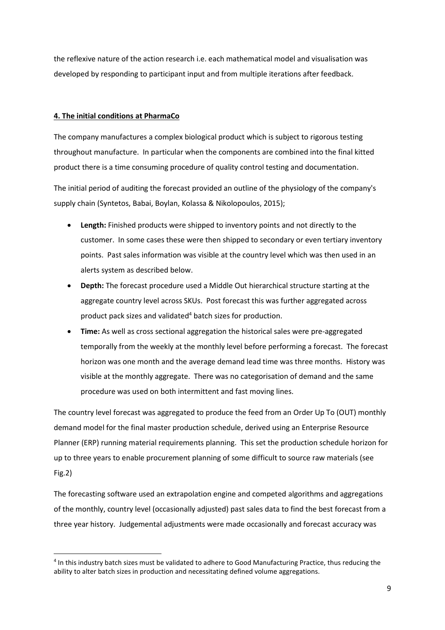the reflexive nature of the action research i.e. each mathematical model and visualisation was developed by responding to participant input and from multiple iterations after feedback.

# **4. The initial conditions at PharmaCo**

-

The company manufactures a complex biological product which is subject to rigorous testing throughout manufacture. In particular when the components are combined into the final kitted product there is a time consuming procedure of quality control testing and documentation.

The initial period of auditing the forecast provided an outline of the physiology of the company's supply chain (Syntetos, Babai, Boylan, Kolassa & Nikolopoulos, 2015);

- **Length:** Finished products were shipped to inventory points and not directly to the customer. In some cases these were then shipped to secondary or even tertiary inventory points. Past sales information was visible at the country level which was then used in an alerts system as described below.
- **Depth:** The forecast procedure used a Middle Out hierarchical structure starting at the aggregate country level across SKUs. Post forecast this was further aggregated across product pack sizes and validated<sup>4</sup> batch sizes for production.
- **Time:** As well as cross sectional aggregation the historical sales were pre-aggregated temporally from the weekly at the monthly level before performing a forecast. The forecast horizon was one month and the average demand lead time was three months. History was visible at the monthly aggregate. There was no categorisation of demand and the same procedure was used on both intermittent and fast moving lines.

The country level forecast was aggregated to produce the feed from an Order Up To (OUT) monthly demand model for the final master production schedule, derived using an Enterprise Resource Planner (ERP) running material requirements planning. This set the production schedule horizon for up to three years to enable procurement planning of some difficult to source raw materials (see Fig.2)

The forecasting software used an extrapolation engine and competed algorithms and aggregations of the monthly, country level (occasionally adjusted) past sales data to find the best forecast from a three year history. Judgemental adjustments were made occasionally and forecast accuracy was

<sup>4</sup> In this industry batch sizes must be validated to adhere to Good Manufacturing Practice, thus reducing the ability to alter batch sizes in production and necessitating defined volume aggregations.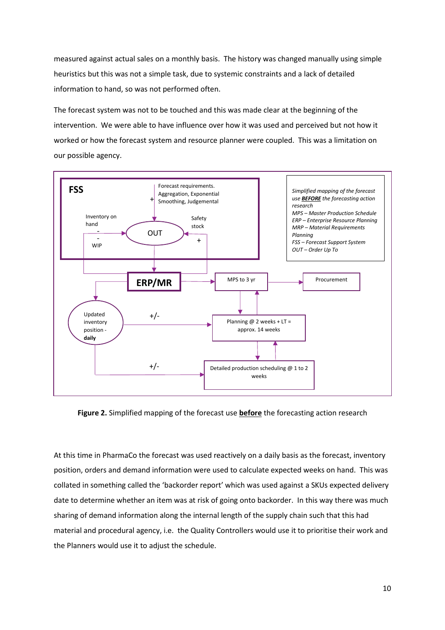measured against actual sales on a monthly basis. The history was changed manually using simple heuristics but this was not a simple task, due to systemic constraints and a lack of detailed information to hand, so was not performed often.

The forecast system was not to be touched and this was made clear at the beginning of the intervention. We were able to have influence over how it was used and perceived but not how it worked or how the forecast system and resource planner were coupled. This was a limitation on our possible agency.



**Figure 2.** Simplified mapping of the forecast use **before** the forecasting action research

At this time in PharmaCo the forecast was used reactively on a daily basis as the forecast, inventory position, orders and demand information were used to calculate expected weeks on hand. This was collated in something called the 'backorder report' which was used against a SKUs expected delivery date to determine whether an item was at risk of going onto backorder. In this way there was much sharing of demand information along the internal length of the supply chain such that this had material and procedural agency, i.e. the Quality Controllers would use it to prioritise their work and the Planners would use it to adjust the schedule.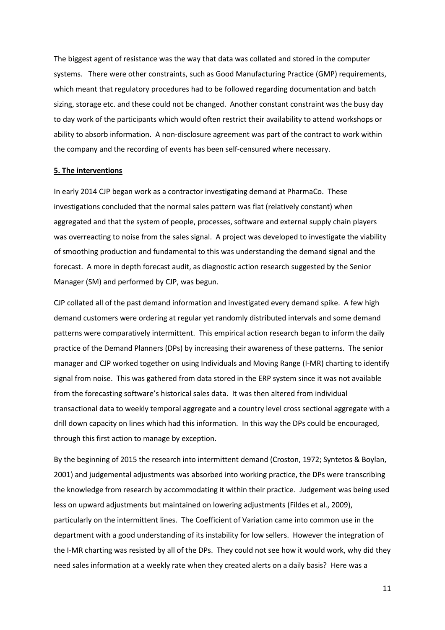The biggest agent of resistance was the way that data was collated and stored in the computer systems. There were other constraints, such as Good Manufacturing Practice (GMP) requirements, which meant that regulatory procedures had to be followed regarding documentation and batch sizing, storage etc. and these could not be changed. Another constant constraint was the busy day to day work of the participants which would often restrict their availability to attend workshops or ability to absorb information. A non-disclosure agreement was part of the contract to work within the company and the recording of events has been self-censured where necessary.

#### **5. The interventions**

In early 2014 CJP began work as a contractor investigating demand at PharmaCo. These investigations concluded that the normal sales pattern was flat (relatively constant) when aggregated and that the system of people, processes, software and external supply chain players was overreacting to noise from the sales signal. A project was developed to investigate the viability of smoothing production and fundamental to this was understanding the demand signal and the forecast. A more in depth forecast audit, as diagnostic action research suggested by the Senior Manager (SM) and performed by CJP, was begun.

CJP collated all of the past demand information and investigated every demand spike. A few high demand customers were ordering at regular yet randomly distributed intervals and some demand patterns were comparatively intermittent. This empirical action research began to inform the daily practice of the Demand Planners (DPs) by increasing their awareness of these patterns. The senior manager and CJP worked together on using Individuals and Moving Range (I-MR) charting to identify signal from noise. This was gathered from data stored in the ERP system since it was not available from the forecasting software's historical sales data. It was then altered from individual transactional data to weekly temporal aggregate and a country level cross sectional aggregate with a drill down capacity on lines which had this information. In this way the DPs could be encouraged, through this first action to manage by exception.

By the beginning of 2015 the research into intermittent demand (Croston, 1972; Syntetos & Boylan, 2001) and judgemental adjustments was absorbed into working practice, the DPs were transcribing the knowledge from research by accommodating it within their practice. Judgement was being used less on upward adjustments but maintained on lowering adjustments (Fildes et al., 2009), particularly on the intermittent lines. The Coefficient of Variation came into common use in the department with a good understanding of its instability for low sellers. However the integration of the I-MR charting was resisted by all of the DPs. They could not see how it would work, why did they need sales information at a weekly rate when they created alerts on a daily basis? Here was a

11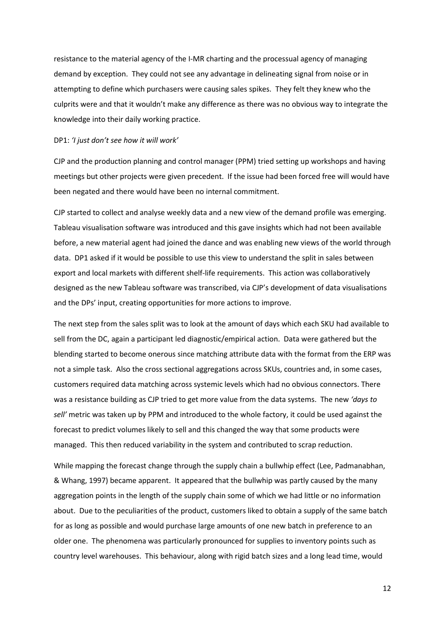resistance to the material agency of the I-MR charting and the processual agency of managing demand by exception. They could not see any advantage in delineating signal from noise or in attempting to define which purchasers were causing sales spikes. They felt they knew who the culprits were and that it wouldn't make any difference as there was no obvious way to integrate the knowledge into their daily working practice.

#### DP1: '*I just don't see how it will work'*

CJP and the production planning and control manager (PPM) tried setting up workshops and having meetings but other projects were given precedent. If the issue had been forced free will would have been negated and there would have been no internal commitment.

CJP started to collect and analyse weekly data and a new view of the demand profile was emerging. Tableau visualisation software was introduced and this gave insights which had not been available before, a new material agent had joined the dance and was enabling new views of the world through data. DP1 asked if it would be possible to use this view to understand the split in sales between export and local markets with different shelf-life requirements. This action was collaboratively designed as the new Tableau software was transcribed, via CJP's development of data visualisations and the DPs' input, creating opportunities for more actions to improve.

The next step from the sales split was to look at the amount of days which each SKU had available to sell from the DC, again a participant led diagnostic/empirical action. Data were gathered but the blending started to become onerous since matching attribute data with the format from the ERP was not a simple task. Also the cross sectional aggregations across SKUs, countries and, in some cases, customers required data matching across systemic levels which had no obvious connectors. There was a resistance building as CJP tried to get more value from the data systems. The new *けdays to sellげ* metric was taken up by PPM and introduced to the whole factory, it could be used against the forecast to predict volumes likely to sell and this changed the way that some products were managed. This then reduced variability in the system and contributed to scrap reduction.

While mapping the forecast change through the supply chain a bullwhip effect (Lee, Padmanabhan, & Whang, 1997) became apparent. It appeared that the bullwhip was partly caused by the many aggregation points in the length of the supply chain some of which we had little or no information about. Due to the peculiarities of the product, customers liked to obtain a supply of the same batch for as long as possible and would purchase large amounts of one new batch in preference to an older one. The phenomena was particularly pronounced for supplies to inventory points such as country level warehouses. This behaviour, along with rigid batch sizes and a long lead time, would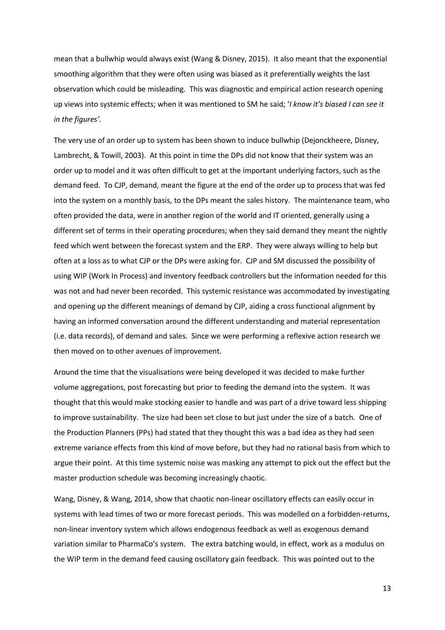mean that a bullwhip would always exist (Wang & Disney, 2015). It also meant that the exponential smoothing algorithm that they were often using was biased as it preferentially weights the last observation which could be misleading. This was diagnostic and empirical action research opening up views into systemic effects; when it was mentioned to SM he said; け*I know itげs biased I can see it in the figures'.* 

The very use of an order up to system has been shown to induce bullwhip (Dejonckheere, Disney, Lambrecht, & Towill, 2003). At this point in time the DPs did not know that their system was an order up to model and it was often difficult to get at the important underlying factors, such as the demand feed. To CJP, demand, meant the figure at the end of the order up to process that was fed into the system on a monthly basis, to the DPs meant the sales history. The maintenance team, who often provided the data, were in another region of the world and IT oriented, generally using a different set of terms in their operating procedures; when they said demand they meant the nightly feed which went between the forecast system and the ERP. They were always willing to help but often at a loss as to what CJP or the DPs were asking for. CJP and SM discussed the possibility of using WIP (Work In Process) and inventory feedback controllers but the information needed for this was not and had never been recorded. This systemic resistance was accommodated by investigating and opening up the different meanings of demand by CJP, aiding a cross functional alignment by having an informed conversation around the different understanding and material representation (i.e. data records), of demand and sales. Since we were performing a reflexive action research we then moved on to other avenues of improvement.

Around the time that the visualisations were being developed it was decided to make further volume aggregations, post forecasting but prior to feeding the demand into the system. It was thought that this would make stocking easier to handle and was part of a drive toward less shipping to improve sustainability. The size had been set close to but just under the size of a batch. One of the Production Planners (PPs) had stated that they thought this was a bad idea as they had seen extreme variance effects from this kind of move before, but they had no rational basis from which to argue their point. At this time systemic noise was masking any attempt to pick out the effect but the master production schedule was becoming increasingly chaotic.

Wang, Disney, & Wang, 2014, show that chaotic non-linear oscillatory effects can easily occur in systems with lead times of two or more forecast periods. This was modelled on a forbidden-returns, non-linear inventory system which allows endogenous feedback as well as exogenous demand variation similar to PharmaCo's system. The extra batching would, in effect, work as a modulus on the WIP term in the demand feed causing oscillatory gain feedback. This was pointed out to the

13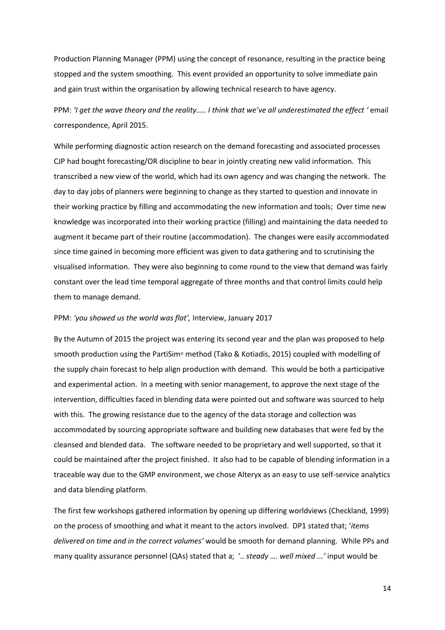Production Planning Manager (PPM) using the concept of resonance, resulting in the practice being stopped and the system smoothing. This event provided an opportunity to solve immediate pain and gain trust within the organisation by allowing technical research to have agency.

PPM: 'I get the wave theory and the reality..... I think that we've all underestimated the effect 'email correspondence, April 2015.

While performing diagnostic action research on the demand forecasting and associated processes CJP had bought forecasting/OR discipline to bear in jointly creating new valid information. This transcribed a new view of the world, which had its own agency and was changing the network. The day to day jobs of planners were beginning to change as they started to question and innovate in their working practice by filling and accommodating the new information and tools; Over time new knowledge was incorporated into their working practice (filling) and maintaining the data needed to augment it became part of their routine (accommodation). The changes were easily accommodated since time gained in becoming more efficient was given to data gathering and to scrutinising the visualised information. They were also beginning to come round to the view that demand was fairly constant over the lead time temporal aggregate of three months and that control limits could help them to manage demand.

#### PPM: 'you showed us the world was flat', Interview, January 2017

By the Autumn of 2015 the project was entering its second year and the plan was proposed to help smooth production using the PartiSim<sup>®</sup> method (Tako & Kotiadis, 2015) coupled with modelling of the supply chain forecast to help align production with demand. This would be both a participative and experimental action. In a meeting with senior management, to approve the next stage of the intervention, difficulties faced in blending data were pointed out and software was sourced to help with this. The growing resistance due to the agency of the data storage and collection was accommodated by sourcing appropriate software and building new databases that were fed by the cleansed and blended data. The software needed to be proprietary and well supported, so that it could be maintained after the project finished. It also had to be capable of blending information in a traceable way due to the GMP environment, we chose Alteryx as an easy to use self-service analytics and data blending platform.

The first few workshops gathered information by opening up differing worldviews (Checkland, 1999) on the process of smoothing and what it meant to the actors involved. DP1 stated that; 'items *delivered on time and in the correct volumes'* would be smooth for demand planning. While PPs and many quality assurance personnel (QAs) stated that a; '.. *steady .... well mixed ...'* input would be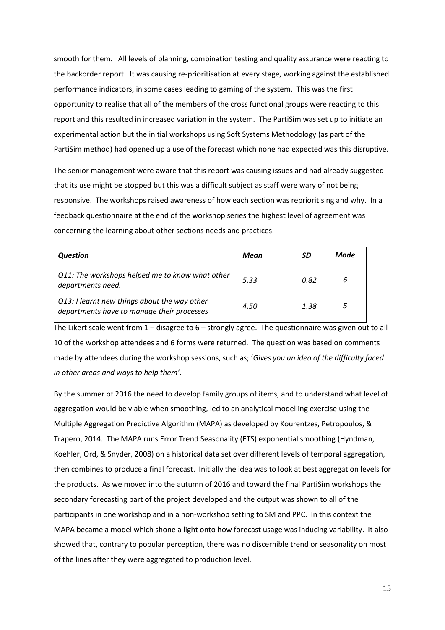smooth for them. All levels of planning, combination testing and quality assurance were reacting to the backorder report. It was causing re-prioritisation at every stage, working against the established performance indicators, in some cases leading to gaming of the system. This was the first opportunity to realise that all of the members of the cross functional groups were reacting to this report and this resulted in increased variation in the system. The PartiSim was set up to initiate an experimental action but the initial workshops using Soft Systems Methodology (as part of the PartiSim method) had opened up a use of the forecast which none had expected was this disruptive.

The senior management were aware that this report was causing issues and had already suggested that its use might be stopped but this was a difficult subject as staff were wary of not being responsive. The workshops raised awareness of how each section was reprioritising and why. In a feedback questionnaire at the end of the workshop series the highest level of agreement was concerning the learning about other sections needs and practices.

| Question                                                                                   | Mean | SD   | Mode |
|--------------------------------------------------------------------------------------------|------|------|------|
| Q11: The workshops helped me to know what other<br>departments need.                       | 5.33 | 0.82 | 6    |
| Q13: I learnt new things about the way other<br>departments have to manage their processes | 4.50 | 1.38 |      |

The Likert scale went from  $1 -$  disagree to  $6 -$  strongly agree. The questionnaire was given out to all 10 of the workshop attendees and 6 forms were returned. The question was based on comments made by attendees during the workshop sessions, such as; 'Gives you an idea of the difficulty faced *in other areas and ways to help them'.* 

By the summer of 2016 the need to develop family groups of items, and to understand what level of aggregation would be viable when smoothing, led to an analytical modelling exercise using the Multiple Aggregation Predictive Algorithm (MAPA) as developed by Kourentzes, Petropoulos, & Trapero, 2014. The MAPA runs Error Trend Seasonality (ETS) exponential smoothing (Hyndman, Koehler, Ord, & Snyder, 2008) on a historical data set over different levels of temporal aggregation, then combines to produce a final forecast. Initially the idea was to look at best aggregation levels for the products. As we moved into the autumn of 2016 and toward the final PartiSim workshops the secondary forecasting part of the project developed and the output was shown to all of the participants in one workshop and in a non-workshop setting to SM and PPC. In this context the MAPA became a model which shone a light onto how forecast usage was inducing variability. It also showed that, contrary to popular perception, there was no discernible trend or seasonality on most of the lines after they were aggregated to production level.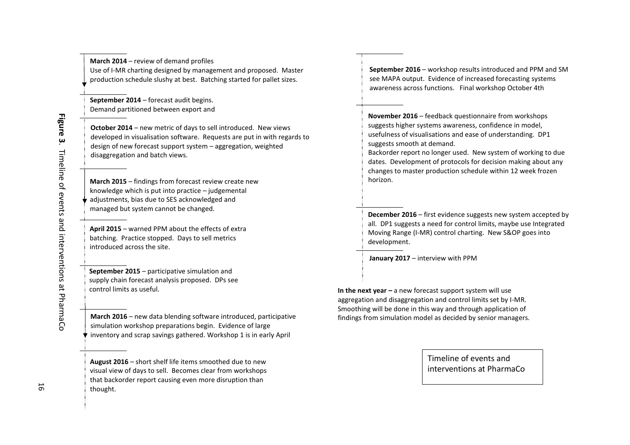| Use of I-MR charting designed by management and proposed. Master<br>production schedule slushy at best. Batching started for pallet sizes.                                                                                                      |
|-------------------------------------------------------------------------------------------------------------------------------------------------------------------------------------------------------------------------------------------------|
| September 2014 - forecast audit begins.<br>Demand partitioned between export and                                                                                                                                                                |
| October 2014 - new metric of days to sell introduced. New views<br>developed in visualisation software. Requests are put in with regards to<br>design of new forecast support system - aggregation, weighted<br>disaggregation and batch views. |
| March 2015 – findings from forecast review create new<br>knowledge which is put into practice - judgemental<br>adjustments, bias due to SES acknowledged and<br>managed but system cannot be changed.                                           |
| April 2015 – warned PPM about the effects of extra<br>batching. Practice stopped. Days to sell metrics<br>introduced across the site.                                                                                                           |
| September 2015 – participative simulation and<br>supply chain forecast analysis proposed. DPs see<br>control limits as useful.                                                                                                                  |
| March 2016 - new data blending software introduced, participative<br>simulation workshop preparations begin. Evidence of large<br>inventory and scrap savings gathered. Workshop 1 is in early April                                            |

**March 2014** – review of demand profiles

**August 2016** – short shelf life items smoothed due to new visual view of days to sell. Becomes clear from workshops that backorder report causing even more disruption than thought.

**September 2016** – workshop results introduced and PPM and SM see MAPA output. Evidence of increased forecasting systems awareness across functions. Final workshop October 4th

**November 2016** – feedback questionnaire from workshops suggests higher systems awareness, confidence in model, usefulness of visualisations and ease of understanding. DP1 suggests smooth at demand.

 Backorder report no longer used. New system of working to due dates. Development of protocols for decision making about any changes to master production schedule within 12 week frozen horizon.

**December 2016** – first evidence suggests new system accepted by all. DP1 suggests a need for control limits, maybe use Integrated Moving Range (I-MR) control charting. New S&OP goes intodevelopment.

**January 2017**  に interview with PPM

**In the next year –** a new forecast support system will use aggregation and disaggregation and control limits set by I-MR. Smoothing will be done in this way and through application of findings from simulation model as decided by senior managers.

> Timeline of events and interventions at PharmaCo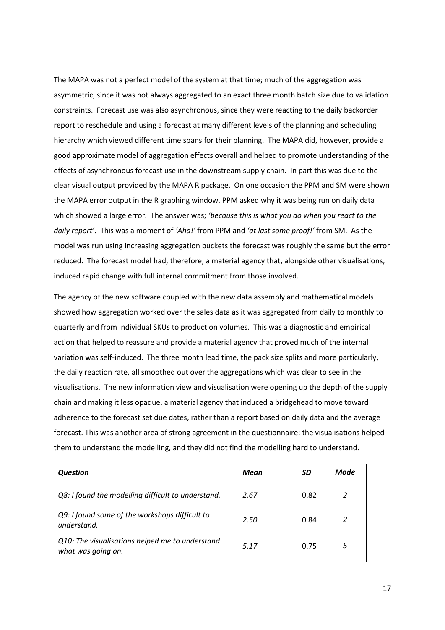The MAPA was not a perfect model of the system at that time; much of the aggregation was asymmetric, since it was not always aggregated to an exact three month batch size due to validation constraints. Forecast use was also asynchronous, since they were reacting to the daily backorder report to reschedule and using a forecast at many different levels of the planning and scheduling hierarchy which viewed different time spans for their planning. The MAPA did, however, provide a good approximate model of aggregation effects overall and helped to promote understanding of the effects of asynchronous forecast use in the downstream supply chain. In part this was due to the clear visual output provided by the MAPA R package. On one occasion the PPM and SM were shown the MAPA error output in the R graphing window, PPM asked why it was being run on daily data which showed a large error. The answer was; 'because this is what you do when you react to the *daily report'*. This was a moment of *'Aha!'* from PPM and 'at last some proof!' from SM. As the model was run using increasing aggregation buckets the forecast was roughly the same but the error reduced. The forecast model had, therefore, a material agency that, alongside other visualisations, induced rapid change with full internal commitment from those involved.

The agency of the new software coupled with the new data assembly and mathematical models showed how aggregation worked over the sales data as it was aggregated from daily to monthly to quarterly and from individual SKUs to production volumes. This was a diagnostic and empirical action that helped to reassure and provide a material agency that proved much of the internal variation was self-induced. The three month lead time, the pack size splits and more particularly, the daily reaction rate, all smoothed out over the aggregations which was clear to see in the visualisations. The new information view and visualisation were opening up the depth of the supply chain and making it less opaque, a material agency that induced a bridgehead to move toward adherence to the forecast set due dates, rather than a report based on daily data and the average forecast. This was another area of strong agreement in the questionnaire; the visualisations helped them to understand the modelling, and they did not find the modelling hard to understand.

| <b>Question</b>                                                       | Mean | SD   | Mode |
|-----------------------------------------------------------------------|------|------|------|
| Q8: I found the modelling difficult to understand.                    | 2.67 | 0.82 | 2    |
| Q9: I found some of the workshops difficult to<br>understand.         | 2.50 | 0.84 |      |
| Q10: The visualisations helped me to understand<br>what was going on. | 5.17 | 0.75 | 5    |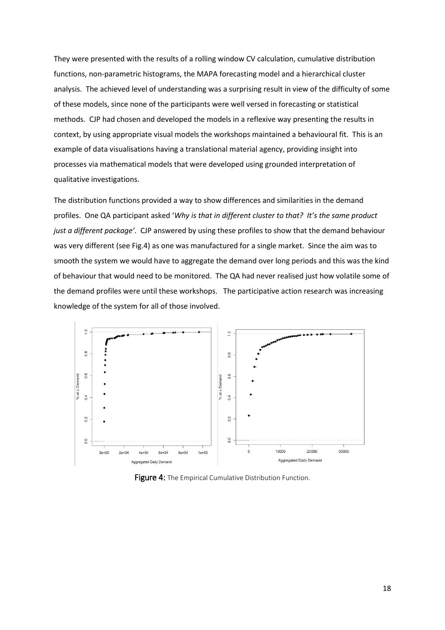They were presented with the results of a rolling window CV calculation, cumulative distribution functions, non-parametric histograms, the MAPA forecasting model and a hierarchical cluster analysis. The achieved level of understanding was a surprising result in view of the difficulty of some of these models, since none of the participants were well versed in forecasting or statistical methods. CJP had chosen and developed the models in a reflexive way presenting the results in context, by using appropriate visual models the workshops maintained a behavioural fit. This is an example of data visualisations having a translational material agency, providing insight into processes via mathematical models that were developed using grounded interpretation of qualitative investigations.

The distribution functions provided a way to show differences and similarities in the demand profiles. One QA participant asked 'Why is that in different cluster to that? It's the same product *just a different package'.* CJP answered by using these profiles to show that the demand behaviour was very different (see Fig.4) as one was manufactured for a single market. Since the aim was to smooth the system we would have to aggregate the demand over long periods and this was the kind of behaviour that would need to be monitored. The QA had never realised just how volatile some of the demand profiles were until these workshops. The participative action research was increasing knowledge of the system for all of those involved.



Figure 4: The Empirical Cumulative Distribution Function.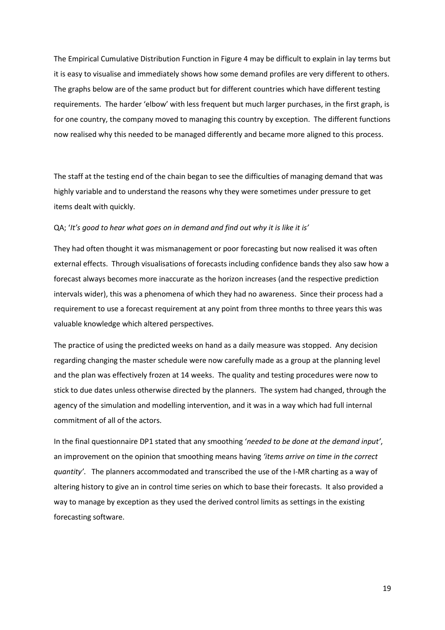The Empirical Cumulative Distribution Function in Figure 4 may be difficult to explain in lay terms but it is easy to visualise and immediately shows how some demand profiles are very different to others. The graphs below are of the same product but for different countries which have different testing requirements. The harder 'elbow' with less frequent but much larger purchases, in the first graph, is for one country, the company moved to managing this country by exception. The different functions now realised why this needed to be managed differently and became more aligned to this process.

The staff at the testing end of the chain began to see the difficulties of managing demand that was highly variable and to understand the reasons why they were sometimes under pressure to get items dealt with quickly.

#### QA; 'It's good to hear what goes on in demand and find out why it is like it is'

They had often thought it was mismanagement or poor forecasting but now realised it was often external effects. Through visualisations of forecasts including confidence bands they also saw how a forecast always becomes more inaccurate as the horizon increases (and the respective prediction intervals wider), this was a phenomena of which they had no awareness. Since their process had a requirement to use a forecast requirement at any point from three months to three years this was valuable knowledge which altered perspectives.

The practice of using the predicted weeks on hand as a daily measure was stopped. Any decision regarding changing the master schedule were now carefully made as a group at the planning level and the plan was effectively frozen at 14 weeks. The quality and testing procedures were now to stick to due dates unless otherwise directed by the planners. The system had changed, through the agency of the simulation and modelling intervention, and it was in a way which had full internal commitment of all of the actors.

In the final questionnaire DP1 stated that any smoothing 'needed to be done at the demand input', an improvement on the opinion that smoothing means having *'items arrive on time in the correct quantity'.* The planners accommodated and transcribed the use of the I-MR charting as a way of altering history to give an in control time series on which to base their forecasts. It also provided a way to manage by exception as they used the derived control limits as settings in the existing forecasting software.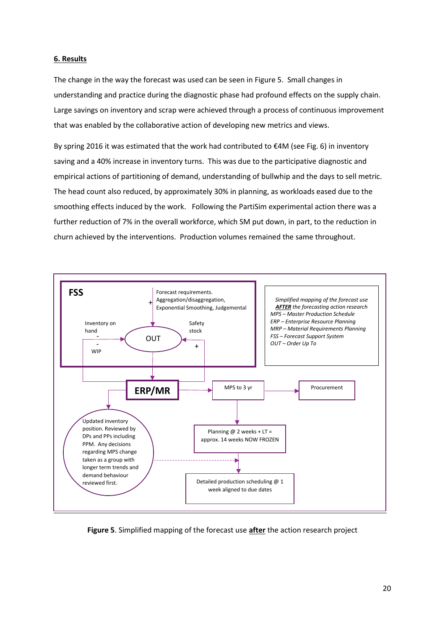## **6. Results**

The change in the way the forecast was used can be seen in Figure 5. Small changes in understanding and practice during the diagnostic phase had profound effects on the supply chain. Large savings on inventory and scrap were achieved through a process of continuous improvement that was enabled by the collaborative action of developing new metrics and views.

By spring 2016 it was estimated that the work had contributed to  $\epsilon$ 4M (see Fig. 6) in inventory saving and a 40% increase in inventory turns. This was due to the participative diagnostic and empirical actions of partitioning of demand, understanding of bullwhip and the days to sell metric. The head count also reduced, by approximately 30% in planning, as workloads eased due to the smoothing effects induced by the work. Following the PartiSim experimental action there was a further reduction of 7% in the overall workforce, which SM put down, in part, to the reduction in churn achieved by the interventions. Production volumes remained the same throughout.



**Figure 5**. Simplified mapping of the forecast use **after** the action research project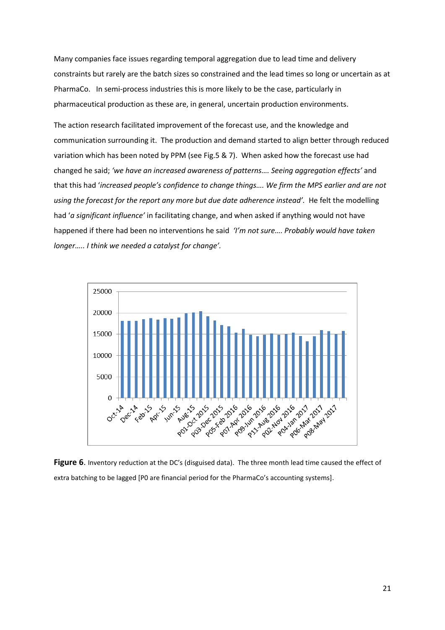Many companies face issues regarding temporal aggregation due to lead time and delivery constraints but rarely are the batch sizes so constrained and the lead times so long or uncertain as at PharmaCo. In semi-process industries this is more likely to be the case, particularly in pharmaceutical production as these are, in general, uncertain production environments.

The action research facilitated improvement of the forecast use, and the knowledge and communication surrounding it. The production and demand started to align better through reduced variation which has been noted by PPM (see Fig.5 & 7). When asked how the forecast use had changed he said; 'we have an increased awareness of patterns.... Seeing aggregation effects' and that this had 'increased people's confidence to change things.... We firm the MPS earlier and are not using the forecast for the report any more but due date adherence instead'. He felt the modelling had 'a significant influence' in facilitating change, and when asked if anything would not have happened if there had been no interventions he said *'I'm not sure.... Probably would have taken <i><u>Ionger.....</u> I think we needed a catalyst for change'.* 



Figure 6. Inventory reduction at the DC's (disguised data). The three month lead time caused the effect of extra batching to be lagged [P0 are financial period for the PharmaCo's accounting systems].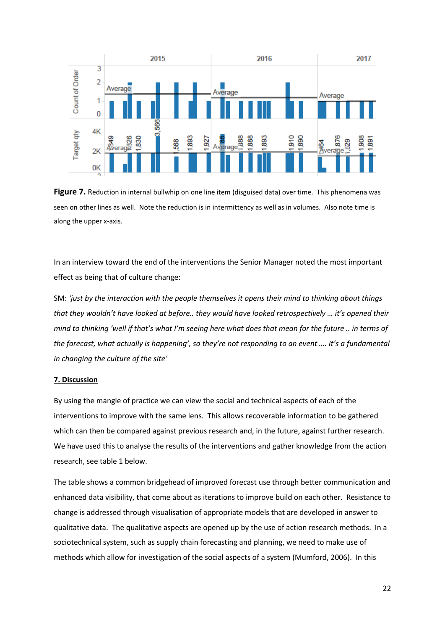

**Figure 7.** Reduction in internal bullwhip on one line item (disguised data) over time. This phenomena was seen on other lines as well. Note the reduction is in intermittency as well as in volumes. Also note time is along the upper x-axis.

In an interview toward the end of the interventions the Senior Manager noted the most important effect as being that of culture change:

SM: 'just by the interaction with the people themselves it opens their mind to thinking about things that they wouldn't have looked at before.. they would have looked retrospectively ... it's opened their *mind to thinking 'well if that's what I'm seeing here what does that mean for the future .. in terms of the forecast, what actually is happening', so they're not responding to an event .... It's a fundamental in changing the culture of the site'* 

#### **7. Discussion**

By using the mangle of practice we can view the social and technical aspects of each of the interventions to improve with the same lens. This allows recoverable information to be gathered which can then be compared against previous research and, in the future, against further research. We have used this to analyse the results of the interventions and gather knowledge from the action research, see table 1 below.

The table shows a common bridgehead of improved forecast use through better communication and enhanced data visibility, that come about as iterations to improve build on each other. Resistance to change is addressed through visualisation of appropriate models that are developed in answer to qualitative data. The qualitative aspects are opened up by the use of action research methods. In a sociotechnical system, such as supply chain forecasting and planning, we need to make use of methods which allow for investigation of the social aspects of a system (Mumford, 2006). In this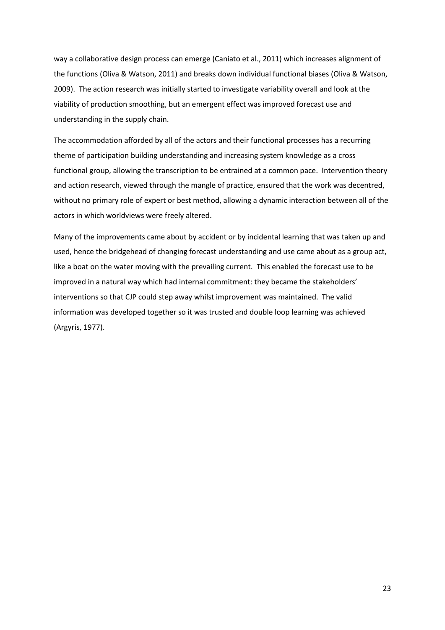way a collaborative design process can emerge (Caniato et al., 2011) which increases alignment of the functions (Oliva & Watson, 2011) and breaks down individual functional biases (Oliva & Watson, 2009). The action research was initially started to investigate variability overall and look at the viability of production smoothing, but an emergent effect was improved forecast use and understanding in the supply chain.

The accommodation afforded by all of the actors and their functional processes has a recurring theme of participation building understanding and increasing system knowledge as a cross functional group, allowing the transcription to be entrained at a common pace. Intervention theory and action research, viewed through the mangle of practice, ensured that the work was decentred, without no primary role of expert or best method, allowing a dynamic interaction between all of the actors in which worldviews were freely altered.

Many of the improvements came about by accident or by incidental learning that was taken up and used, hence the bridgehead of changing forecast understanding and use came about as a group act, like a boat on the water moving with the prevailing current. This enabled the forecast use to be improved in a natural way which had internal commitment: they became the stakeholders' interventions so that CJP could step away whilst improvement was maintained. The valid information was developed together so it was trusted and double loop learning was achieved (Argyris, 1977).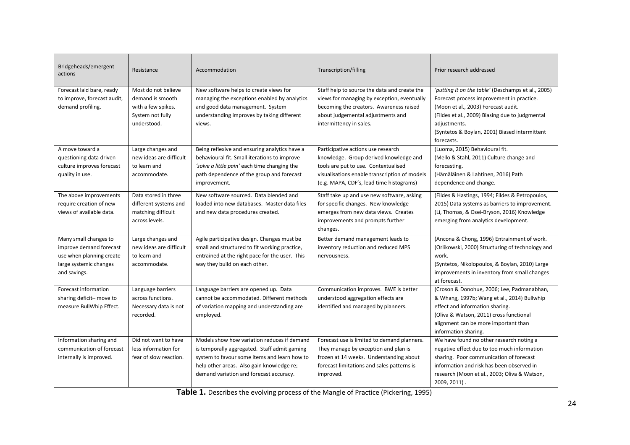| Bridgeheads/emergent<br>actions                                                                                        | Resistance                                                                                       | Accommodation                                                                                                                                                                                                                       | <b>Transcription/filling</b>                                                                                                                                                                                      | Prior research addressed                                                                                                                                                                                                                                                 |
|------------------------------------------------------------------------------------------------------------------------|--------------------------------------------------------------------------------------------------|-------------------------------------------------------------------------------------------------------------------------------------------------------------------------------------------------------------------------------------|-------------------------------------------------------------------------------------------------------------------------------------------------------------------------------------------------------------------|--------------------------------------------------------------------------------------------------------------------------------------------------------------------------------------------------------------------------------------------------------------------------|
| Forecast laid bare, ready<br>to improve, forecast audit,<br>demand profiling.                                          | Most do not believe<br>demand is smooth<br>with a few spikes.<br>System not fully<br>understood. | New software helps to create views for<br>managing the exceptions enabled by analytics<br>and good data management. System<br>understanding improves by taking different<br>views.                                                  | Staff help to source the data and create the<br>views for managing by exception, eventually<br>becoming the creators. Awareness raised<br>about judgemental adjustments and<br>intermittency in sales.            | 'putting it on the table' (Deschamps et al., 2005)<br>Forecast process improvement in practice.<br>(Moon et al., 2003) Forecast audit.<br>(Fildes et al., 2009) Biasing due to judgmental<br>adjustments.<br>(Syntetos & Boylan, 2001) Biased intermittent<br>forecasts. |
| A move toward a<br>questioning data driven<br>culture improves forecast<br>quality in use.                             | Large changes and<br>new ideas are difficult<br>to learn and<br>accommodate.                     | Being reflexive and ensuring analytics have a<br>behavioural fit. Small iterations to improve<br>'solve a little pain' each time changing the<br>path dependence of the group and forecast<br>improvement.                          | Participative actions use research<br>knowledge. Group derived knowledge and<br>tools are put to use. Contextualised<br>visualisations enable transcription of models<br>(e.g. MAPA, CDF's, lead time histograms) | (Luoma, 2015) Behavioural fit.<br>(Mello & Stahl, 2011) Culture change and<br>forecasting.<br>(Hämäläinen & Lahtinen, 2016) Path<br>dependence and change.                                                                                                               |
| The above improvements<br>require creation of new<br>views of available data.                                          | Data stored in three<br>different systems and<br>matching difficult<br>across levels.            | New software sourced. Data blended and<br>loaded into new databases. Master data files<br>and new data procedures created.                                                                                                          | Staff take up and use new software, asking<br>for specific changes. New knowledge<br>emerges from new data views. Creates<br>improvements and prompts further<br>changes.                                         | (Fildes & Hastings, 1994; Fildes & Petropoulos,<br>2015) Data systems as barriers to improvement.<br>(Li, Thomas, & Osei-Bryson, 2016) Knowledge<br>emerging from analytics development.                                                                                 |
| Many small changes to<br>improve demand forecast<br>use when planning create<br>large systemic changes<br>and savings. | Large changes and<br>new ideas are difficult<br>to learn and<br>accommodate.                     | Agile participative design. Changes must be<br>small and structured to fit working practice,<br>entrained at the right pace for the user. This<br>way they build on each other.                                                     | Better demand management leads to<br>inventory reduction and reduced MPS<br>nervousness.                                                                                                                          | (Ancona & Chong, 1996) Entrainment of work.<br>(Orlikowski, 2000) Structuring of technology and<br>work.<br>(Syntetos, Nikolopoulos, & Boylan, 2010) Large<br>improvements in inventory from small changes<br>at forecast.                                               |
| Forecast information<br>sharing deficit-move to<br>measure BullWhip Effect.                                            | Language barriers<br>across functions.<br>Necessary data is not<br>recorded.                     | Language barriers are opened up. Data<br>cannot be accommodated. Different methods<br>of variation mapping and understanding are<br>employed.                                                                                       | Communication improves. BWE is better<br>understood aggregation effects are<br>identified and managed by planners.                                                                                                | (Croson & Donohue, 2006; Lee, Padmanabhan,<br>& Whang, 1997b; Wang et al., 2014) Bullwhip<br>effect and information sharing.<br>(Oliva & Watson, 2011) cross functional<br>alignment can be more important than<br>information sharing.                                  |
| Information sharing and<br>communication of forecast<br>internally is improved.                                        | Did not want to have<br>less information for<br>fear of slow reaction.                           | Models show how variation reduces if demand<br>is temporally aggregated. Staff admit gaming<br>system to favour some items and learn how to<br>help other areas. Also gain knowledge re;<br>demand variation and forecast accuracy. | Forecast use is limited to demand planners.<br>They manage by exception and plan is<br>frozen at 14 weeks. Understanding about<br>forecast limitations and sales patterns is<br>improved.                         | We have found no other research noting a<br>negative effect due to too much information<br>sharing. Poor communication of forecast<br>information and risk has been observed in<br>research (Moon et al., 2003; Oliva & Watson,<br>2009, 2011).                          |

**Table 1.** Describes the evolving process of the Mangle of Practice (Pickering, 1995)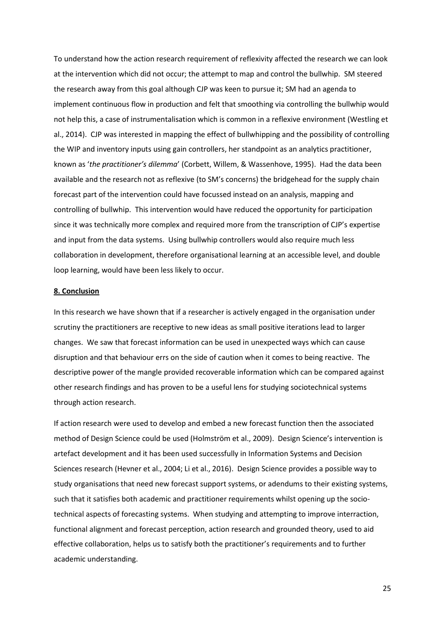To understand how the action research requirement of reflexivity affected the research we can look at the intervention which did not occur; the attempt to map and control the bullwhip. SM steered the research away from this goal although CJP was keen to pursue it; SM had an agenda to implement continuous flow in production and felt that smoothing via controlling the bullwhip would not help this, a case of instrumentalisation which is common in a reflexive environment (Westling et al., 2014). CJP was interested in mapping the effect of bullwhipping and the possibility of controlling the WIP and inventory inputs using gain controllers, her standpoint as an analytics practitioner, known as 'the practitioner's dilemma' (Corbett, Willem, & Wassenhove, 1995). Had the data been available and the research not as reflexive (to SM's concerns) the bridgehead for the supply chain forecast part of the intervention could have focussed instead on an analysis, mapping and controlling of bullwhip. This intervention would have reduced the opportunity for participation since it was technically more complex and required more from the transcription of CJP's expertise and input from the data systems. Using bullwhip controllers would also require much less collaboration in development, therefore organisational learning at an accessible level, and double loop learning, would have been less likely to occur.

#### **8. Conclusion**

In this research we have shown that if a researcher is actively engaged in the organisation under scrutiny the practitioners are receptive to new ideas as small positive iterations lead to larger changes. We saw that forecast information can be used in unexpected ways which can cause disruption and that behaviour errs on the side of caution when it comes to being reactive. The descriptive power of the mangle provided recoverable information which can be compared against other research findings and has proven to be a useful lens for studying sociotechnical systems through action research.

If action research were used to develop and embed a new forecast function then the associated method of Design Science could be used (Holmström et al., 2009). Design Science's intervention is artefact development and it has been used successfully in Information Systems and Decision Sciences research (Hevner et al., 2004; Li et al., 2016). Design Science provides a possible way to study organisations that need new forecast support systems, or adendums to their existing systems, such that it satisfies both academic and practitioner requirements whilst opening up the sociotechnical aspects of forecasting systems. When studying and attempting to improve interraction, functional alignment and forecast perception, action research and grounded theory, used to aid effective collaboration, helps us to satisfy both the practitioner's requirements and to further academic understanding.

25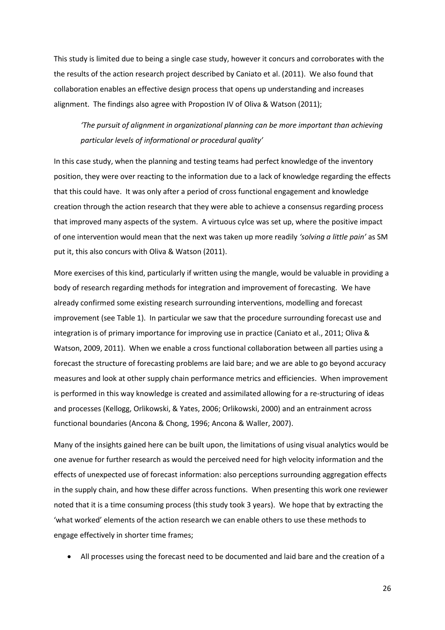This study is limited due to being a single case study, however it concurs and corroborates with the the results of the action research project described by Caniato et al. (2011). We also found that collaboration enables an effective design process that opens up understanding and increases alignment. The findings also agree with Propostion IV of Oliva & Watson (2011);

# *The pursuit of alignment in organizational planning can be more important than achieving* particular levels of informational or procedural quality'

In this case study, when the planning and testing teams had perfect knowledge of the inventory position, they were over reacting to the information due to a lack of knowledge regarding the effects that this could have. It was only after a period of cross functional engagement and knowledge creation through the action research that they were able to achieve a consensus regarding process that improved many aspects of the system. A virtuous cylce was set up, where the positive impact of one intervention would mean that the next was taken up more readily *'solving a little pain'* as SM put it, this also concurs with Oliva & Watson (2011).

More exercises of this kind, particularly if written using the mangle, would be valuable in providing a body of research regarding methods for integration and improvement of forecasting. We have already confirmed some existing research surrounding interventions, modelling and forecast improvement (see Table 1). In particular we saw that the procedure surrounding forecast use and integration is of primary importance for improving use in practice (Caniato et al., 2011; Oliva & Watson, 2009, 2011). When we enable a cross functional collaboration between all parties using a forecast the structure of forecasting problems are laid bare; and we are able to go beyond accuracy measures and look at other supply chain performance metrics and efficiencies. When improvement is performed in this way knowledge is created and assimilated allowing for a re-structuring of ideas and processes (Kellogg, Orlikowski, & Yates, 2006; Orlikowski, 2000) and an entrainment across functional boundaries (Ancona & Chong, 1996; Ancona & Waller, 2007).

Many of the insights gained here can be built upon, the limitations of using visual analytics would be one avenue for further research as would the perceived need for high velocity information and the effects of unexpected use of forecast information: also perceptions surrounding aggregation effects in the supply chain, and how these differ across functions. When presenting this work one reviewer noted that it is a time consuming process (this study took 3 years). We hope that by extracting the 'what worked' elements of the action research we can enable others to use these methods to engage effectively in shorter time frames;

All processes using the forecast need to be documented and laid bare and the creation of a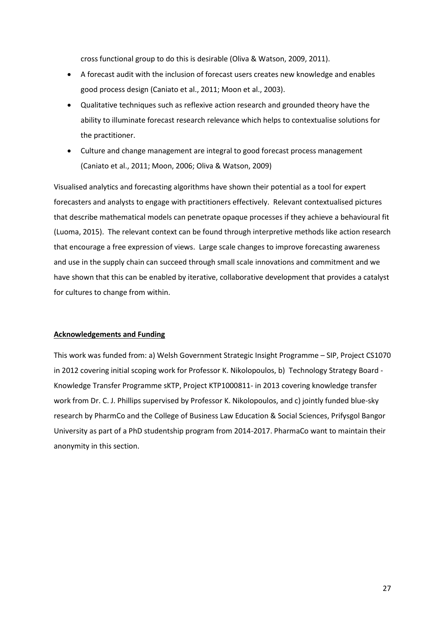cross functional group to do this is desirable (Oliva & Watson, 2009, 2011).

- A forecast audit with the inclusion of forecast users creates new knowledge and enables good process design (Caniato et al., 2011; Moon et al., 2003).
- Qualitative techniques such as reflexive action research and grounded theory have the ability to illuminate forecast research relevance which helps to contextualise solutions for the practitioner.
- Culture and change management are integral to good forecast process management (Caniato et al., 2011; Moon, 2006; Oliva & Watson, 2009)

Visualised analytics and forecasting algorithms have shown their potential as a tool for expert forecasters and analysts to engage with practitioners effectively. Relevant contextualised pictures that describe mathematical models can penetrate opaque processes if they achieve a behavioural fit (Luoma, 2015). The relevant context can be found through interpretive methods like action research that encourage a free expression of views. Large scale changes to improve forecasting awareness and use in the supply chain can succeed through small scale innovations and commitment and we have shown that this can be enabled by iterative, collaborative development that provides a catalyst for cultures to change from within.

#### **Acknowledgements and Funding**

This work was funded from: a) Welsh Government Strategic Insight Programme - SIP, Project CS1070 in 2012 covering initial scoping work for Professor K. Nikolopoulos, b) Technology Strategy Board - Knowledge Transfer Programme sKTP, Project KTP1000811- in 2013 covering knowledge transfer work from Dr. C. J. Phillips supervised by Professor K. Nikolopoulos, and c) jointly funded blue-sky research by PharmCo and the College of Business Law Education & Social Sciences, Prifysgol Bangor University as part of a PhD studentship program from 2014-2017. PharmaCo want to maintain their anonymity in this section.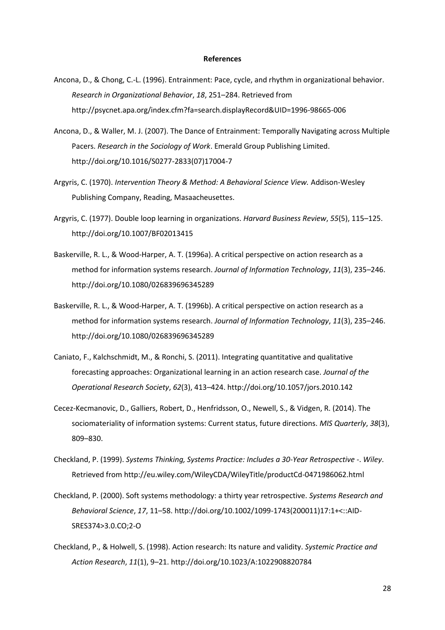#### **References**

- Ancona, D., & Chong, C.-L. (1996). Entrainment: Pace, cycle, and rhythm in organizational behavior. *Research in Organizational Behavior, 18, 251-284. Retrieved from* http://psycnet.apa.org/index.cfm?fa=search.displayRecord&UID=1996-98665-006
- Ancona, D., & Waller, M. J. (2007). The Dance of Entrainment: Temporally Navigating across Multiple Pacers. *Research in the Sociology of Work*. Emerald Group Publishing Limited. http://doi.org/10.1016/S0277-2833(07)17004-7
- Argyris, C. (1970). *Intervention Theory & Method: A Behavioral Science View.* Addison-Wesley Publishing Company, Reading, Masaacheusettes.
- Argyris, C. (1977). Double loop learning in organizations. *Harvard Business Review, 55*(5), 115–125. http://doi.org/10.1007/BF02013415
- Baskerville, R. L., & Wood-Harper, A. T. (1996a). A critical perspective on action research as a method for information systems research. Journal of Information Technology, 11(3), 235-246. http://doi.org/10.1080/026839696345289
- Baskerville, R. L., & Wood-Harper, A. T. (1996b). A critical perspective on action research as a method for information systems research. *Journal of Information Technology*, 11(3), 235–246. http://doi.org/10.1080/026839696345289
- Caniato, F., Kalchschmidt, M., & Ronchi, S. (2011). Integrating quantitative and qualitative forecasting approaches: Organizational learning in an action research case. *Journal of the Operational Research Society, 62*(3), 413-424. http://doi.org/10.1057/jors.2010.142
- Cecez-Kecmanovic, D., Galliers, Robert, D., Henfridsson, O., Newell, S., & Vidgen, R. (2014). The sociomateriality of information systems: Current status, future directions. *MIS Quarterly*, *38*(3), 809-830.
- Checkland, P. (1999). *Systems Thinking, Systems Practice: Includes a 30-Year Retrospective -*. *Wiley*. Retrieved from http://eu.wiley.com/WileyCDA/WileyTitle/productCd-0471986062.html
- Checkland, P. (2000). Soft systems methodology: a thirty year retrospective. *Systems Research and Behavioral Science, 17, 11-58. http://doi.org/10.1002/1099-1743(200011)17:1+<::AID-*SRES374>3.0.CO;2-O
- Checkland, P., & Holwell, S. (1998). Action research: Its nature and validity. *Systemic Practice and Action Research*, *11*(1), 9に21. http://doi.org/10.1023/A:1022908820784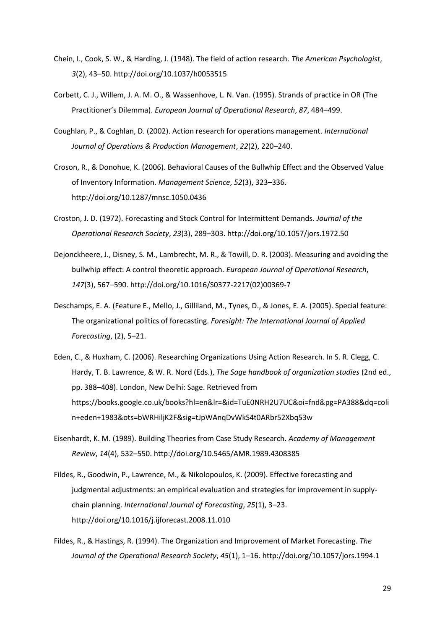- Chein, I., Cook, S. W., & Harding, J. (1948). The field of action research. *The American Psychologist*, 3(2), 43-50. http://doi.org/10.1037/h0053515
- Corbett, C. J., Willem, J. A. M. O., & Wassenhove, L. N. Van. (1995). Strands of practice in OR (The Practitioner's Dilemma). *European Journal of Operational Research*, 87, 484-499.
- Coughlan, P., & Coghlan, D. (2002). Action research for operations management. *International Journal of Operations & Production Management, 22(2), 220-240.*
- Croson, R., & Donohue, K. (2006). Behavioral Causes of the Bullwhip Effect and the Observed Value of Inventory Information. *Management Science*, 52(3), 323-336. http://doi.org/10.1287/mnsc.1050.0436
- Croston, J. D. (1972). Forecasting and Stock Control for Intermittent Demands. *Journal of the Operational Research Society*, *23*(3), 289に303. http://doi.org/10.1057/jors.1972.50
- Dejonckheere, J., Disney, S. M., Lambrecht, M. R., & Towill, D. R. (2003). Measuring and avoiding the bullwhip effect: A control theoretic approach. *European Journal of Operational Research*, 147(3), 567-590. http://doi.org/10.1016/S0377-2217(02)00369-7
- Deschamps, E. A. (Feature E., Mello, J., Gilliland, M., Tynes, D., & Jones, E. A. (2005). Special feature: The organizational politics of forecasting. *Foresight: The International Journal of Applied Forecasting*, (2), 5–21.
- Eden, C., & Huxham, C. (2006). Researching Organizations Using Action Research. In S. R. Clegg, C. Hardy, T. B. Lawrence, & W. R. Nord (Eds.), *The Sage handbook of organization studies* (2nd ed., pp. 388-408). London, New Delhi: Sage. Retrieved from https://books.google.co.uk/books?hl=en&lr=&id=TuE0NRH2U7UC&oi=fnd&pg=PA388&dq=coli n+eden+1983&ots=bWRHiljK2F&sig=tJpWAnqDvWkS4t0ARbr52Xbq53w
- Eisenhardt, K. M. (1989). Building Theories from Case Study Research. *Academy of Management Review*, *14*(4), 532に550. http://doi.org/10.5465/AMR.1989.4308385
- Fildes, R., Goodwin, P., Lawrence, M., & Nikolopoulos, K. (2009). Effective forecasting and judgmental adjustments: an empirical evaluation and strategies for improvement in supplychain planning. *International Journal of Forecasting*, 25(1), 3-23. http://doi.org/10.1016/j.ijforecast.2008.11.010
- Fildes, R., & Hastings, R. (1994). The Organization and Improvement of Market Forecasting. *The Journal of the Operational Research Society, 45(1), 1-16. http://doi.org/10.1057/jors.1994.1*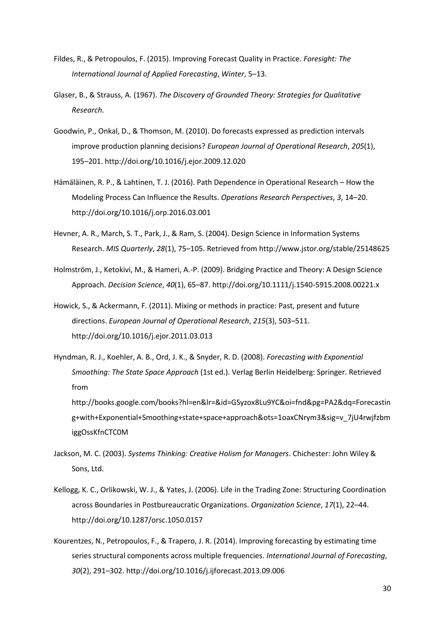- Fildes, R., & Petropoulos, F. (2015). Improving Forecast Quality in Practice. *Foresight: The International Journal of Applied Forecasting, Winter, 5-13.*
- Glaser, B., & Strauss, A. (1967). *The Discovery of Grounded Theory: Strategies for Qualitative Research*.
- Goodwin, P., Onkal, D., & Thomson, M. (2010). Do forecasts expressed as prediction intervals improve production planning decisions? *European Journal of Operational Research*, *205*(1), 195に201. http://doi.org/10.1016/j.ejor.2009.12.020
- Hämäläinen, R. P., & Lahtinen, T. J. (2016). Path Dependence in Operational Research How the Modeling Process Can Influence the Results. *Operations Research Perspectives*, 3, 14–20. http://doi.org/10.1016/j.orp.2016.03.001
- Hevner, A. R., March, S. T., Park, J., & Ram, S. (2004). Design Science in Information Systems Research. *MIS Quarterly, 28*(1), 75-105. Retrieved from http://www.jstor.org/stable/25148625
- Holmström, J., Ketokivi, M., & Hameri, A.-P. (2009). Bridging Practice and Theory: A Design Science Approach. *Decision Science*,  $40(1)$ , 65-87. http://doi.org/10.1111/j.1540-5915.2008.00221.x
- Howick, S., & Ackermann, F. (2011). Mixing or methods in practice: Past, present and future directions. *European Journal of Operational Research*, 215(3), 503-511. http://doi.org/10.1016/j.ejor.2011.03.013
- Hyndman, R. J., Koehler, A. B., Ord, J. K., & Snyder, R. D. (2008). *Forecasting with Exponential Smoothing: The State Space Approach* (1st ed.). Verlag Berlin Heidelberg: Springer. Retrieved from http://books.google.com/books?hl=en&lr=&id=GSyzox8Lu9YC&oi=fnd&pg=PA2&dq=Forecastin g+with+Exponential+Smoothing+state+space+approach&ots=1oaxCNrym3&sig=v\_7jU4rwjfzbm
- Jackson, M. C. (2003). *Systems Thinking: Creative Holism for Managers*. Chichester: John Wiley & Sons, Ltd.

iggOssKfnCTC0M

- Kellogg, K. C., Orlikowski, W. J., & Yates, J. (2006). Life in the Trading Zone: Structuring Coordination across Boundaries in Postbureaucratic Organizations. *Organization Science*, 17(1), 22–44. http://doi.org/10.1287/orsc.1050.0157
- Kourentzes, N., Petropoulos, F., & Trapero, J. R. (2014). Improving forecasting by estimating time series structural components across multiple frequencies. *International Journal of Forecasting*, 30(2), 291-302. http://doi.org/10.1016/j.ijforecast.2013.09.006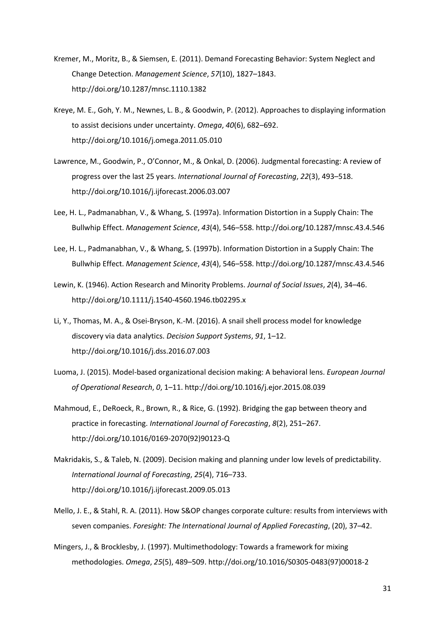- Kremer, M., Moritz, B., & Siemsen, E. (2011). Demand Forecasting Behavior: System Neglect and Change Detection. Management Science, 57(10), 1827-1843. http://doi.org/10.1287/mnsc.1110.1382
- Kreye, M. E., Goh, Y. M., Newnes, L. B., & Goodwin, P. (2012). Approaches to displaying information to assist decisions under uncertainty. *Omega*, 40(6), 682-692. http://doi.org/10.1016/j.omega.2011.05.010
- Lawrence, M., Goodwin, P., O'Connor, M., & Onkal, D. (2006), Judgmental forecasting: A review of progress over the last 25 years. *International Journal of Forecasting*, 22(3), 493–518. http://doi.org/10.1016/j.ijforecast.2006.03.007
- Lee, H. L., Padmanabhan, V., & Whang, S. (1997a). Information Distortion in a Supply Chain: The Bullwhip Effect. *Management Science*, 43(4), 546-558. http://doi.org/10.1287/mnsc.43.4.546
- Lee, H. L., Padmanabhan, V., & Whang, S. (1997b). Information Distortion in a Supply Chain: The Bullwhip Effect. *Management Science*, 43(4), 546–558. http://doi.org/10.1287/mnsc.43.4.546
- Lewin, K. (1946). Action Research and Minority Problems. *Journal of Social Issues*, 2(4), 34-46. http://doi.org/10.1111/j.1540-4560.1946.tb02295.x
- Li, Y., Thomas, M. A., & Osei-Bryson, K.-M. (2016). A snail shell process model for knowledge discovery via data analytics. *Decision Support Systems*, 91, 1-12. http://doi.org/10.1016/j.dss.2016.07.003
- Luoma, J. (2015). Model-based organizational decision making: A behavioral lens. *European Journal of Operational Research, 0, 1*-11. http://doi.org/10.1016/j.ejor.2015.08.039
- Mahmoud, E., DeRoeck, R., Brown, R., & Rice, G. (1992). Bridging the gap between theory and practice in forecasting. *International Journal of Forecasting*,  $8(2)$ , 251-267. http://doi.org/10.1016/0169-2070(92)90123-Q
- Makridakis, S., & Taleb, N. (2009). Decision making and planning under low levels of predictability. *International Journal of Forecasting, 25(4), 716-733.* http://doi.org/10.1016/j.ijforecast.2009.05.013
- Mello, J. E., & Stahl, R. A. (2011). How S&OP changes corporate culture: results from interviews with seven companies. *Foresight: The International Journal of Applied Forecasting*, (20), 37–42.
- Mingers, J., & Brocklesby, J. (1997). Multimethodology: Towards a framework for mixing methodologies. *Omega*, 25(5), 489-509. http://doi.org/10.1016/S0305-0483(97)00018-2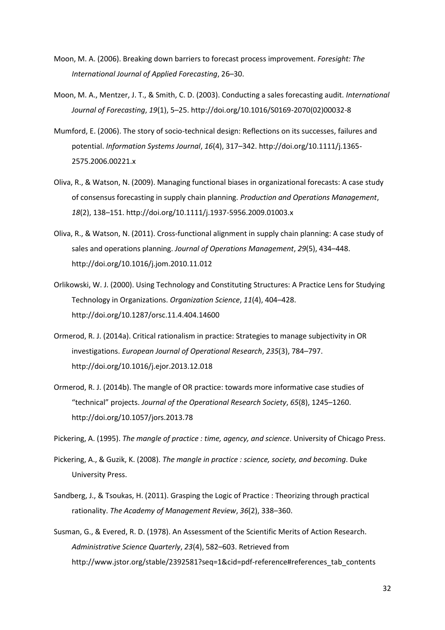- Moon, M. A. (2006). Breaking down barriers to forecast process improvement. *Foresight: The International Journal of Applied Forecasting, 26-30.*
- Moon, M. A., Mentzer, J. T., & Smith, C. D. (2003). Conducting a sales forecasting audit. *International*  Journal of Forecasting, 19(1), 5-25. http://doi.org/10.1016/S0169-2070(02)00032-8
- Mumford, E. (2006). The story of socio-technical design: Reflections on its successes, failures and potential. *Information Systems Journal*, 16(4), 317-342. http://doi.org/10.1111/j.1365-2575.2006.00221.x
- Oliva, R., & Watson, N. (2009). Managing functional biases in organizational forecasts: A case study of consensus forecasting in supply chain planning. *Production and Operations Management*, 18(2), 138-151. http://doi.org/10.1111/j.1937-5956.2009.01003.x
- Oliva, R., & Watson, N. (2011). Cross-functional alignment in supply chain planning: A case study of sales and operations planning. *Journal of Operations Management*, 29(5), 434-448. http://doi.org/10.1016/j.jom.2010.11.012
- Orlikowski, W. J. (2000). Using Technology and Constituting Structures: A Practice Lens for Studying Technology in Organizations. *Organization Science*, 11(4), 404-428. http://doi.org/10.1287/orsc.11.4.404.14600
- Ormerod, R. J. (2014a). Critical rationalism in practice: Strategies to manage subjectivity in OR investigations. *European Journal of Operational Research*, 235(3), 784-797. http://doi.org/10.1016/j.ejor.2013.12.018
- Ormerod, R. J. (2014b). The mangle of OR practice: towards more informative case studies of "technical" projects. Journal of the Operational Research Society, 65(8), 1245-1260. http://doi.org/10.1057/jors.2013.78

Pickering, A. (1995). *The manale of practice : time, gaency, and science*. University of Chicago Press.

- Pickering, A., & Guzik, K. (2008). *The mangle in practice : science, society, and becoming*. Duke University Press.
- Sandberg, J., & Tsoukas, H. (2011). Grasping the Logic of Practice : Theorizing through practical rationality. *The Academy of Management Review*, 36(2), 338-360.
- Susman, G., & Evered, R. D. (1978). An Assessment of the Scientific Merits of Action Research. Administrative Science Quarterly, 23(4), 582-603. Retrieved from http://www.jstor.org/stable/2392581?seq=1&cid=pdf-reference#references\_tab\_contents